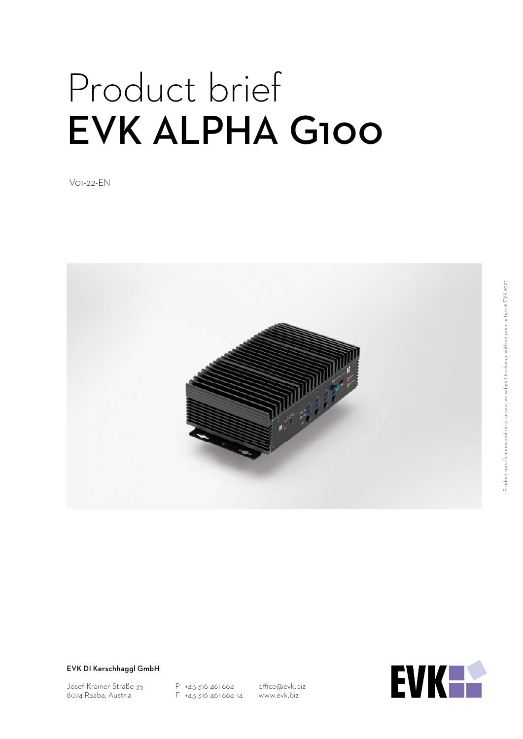# Product brief EVK ALPHA G100

V01-22-EN



EVK DI Kerschhaggl GmbH

Josef-Krainer-Straße 35 8074 Raaba, Austria

P +43 316 461 664 F +43 316 461 664-14

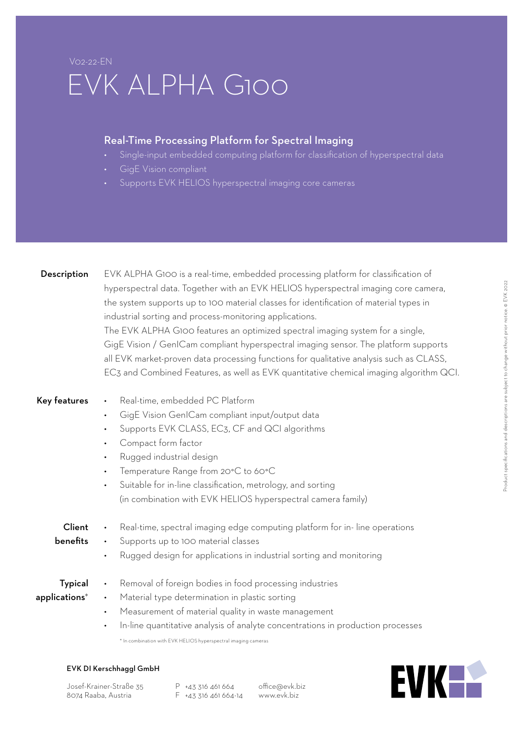### V02-22-EN EVK ALPHA G100

#### Real-Time Processing Platform for Spectral Imaging

- Single-input embedded computing platform for classification of hyperspectral data
- GigE Vision compliant
- Supports EVK HELIOS hyperspectral imaging core cameras

| Description    | EVK ALPHA G100 is a real-time, embedded processing platform for classification of<br>hyperspectral data. Together with an EVK HELIOS hyperspectral imaging core camera,<br>the system supports up to 100 material classes for identification of material types in<br>industrial sorting and process-monitoring applications.<br>The EVK ALPHA G100 features an optimized spectral imaging system for a single,<br>GigE Vision / GenICam compliant hyperspectral imaging sensor. The platform supports<br>all EVK market-proven data processing functions for qualitative analysis such as CLASS,<br>EC3 and Combined Features, as well as EVK quantitative chemical imaging algorithm QCI. |  |  |
|----------------|--------------------------------------------------------------------------------------------------------------------------------------------------------------------------------------------------------------------------------------------------------------------------------------------------------------------------------------------------------------------------------------------------------------------------------------------------------------------------------------------------------------------------------------------------------------------------------------------------------------------------------------------------------------------------------------------|--|--|
| Key features   | Real-time, embedded PC Platform<br>$\bullet$<br>GigE Vision GenlCam compliant input/output data<br>$\bullet$<br>Supports EVK CLASS, EC3, CF and QCI algorithms<br>Compact form factor<br>$\bullet$<br>Rugged industrial design<br>$\bullet$<br>Temperature Range from 20°C to 60°C<br>$\bullet$<br>Suitable for in-line classification, metrology, and sorting<br>$\bullet$<br>(in combination with EVK HELIOS hyperspectral camera family)                                                                                                                                                                                                                                                |  |  |
| Client         | Real-time, spectral imaging edge computing platform for in-line operations                                                                                                                                                                                                                                                                                                                                                                                                                                                                                                                                                                                                                 |  |  |
| benefits       | Supports up to 100 material classes<br>$\bullet$                                                                                                                                                                                                                                                                                                                                                                                                                                                                                                                                                                                                                                           |  |  |
|                | Rugged design for applications in industrial sorting and monitoring<br>$\bullet$                                                                                                                                                                                                                                                                                                                                                                                                                                                                                                                                                                                                           |  |  |
| <b>Typical</b> | Removal of foreign bodies in food processing industries<br>$\bullet$                                                                                                                                                                                                                                                                                                                                                                                                                                                                                                                                                                                                                       |  |  |
| applications*  | Material type determination in plastic sorting<br>$\bullet$                                                                                                                                                                                                                                                                                                                                                                                                                                                                                                                                                                                                                                |  |  |
|                | Measurement of material quality in waste management<br>$\bullet$                                                                                                                                                                                                                                                                                                                                                                                                                                                                                                                                                                                                                           |  |  |
|                | In-line quantitative analysis of analyte concentrations in production processes<br>$\bullet$                                                                                                                                                                                                                                                                                                                                                                                                                                                                                                                                                                                               |  |  |
|                | * In combination with EVK HELIOS hyperspectral imaging cameras                                                                                                                                                                                                                                                                                                                                                                                                                                                                                                                                                                                                                             |  |  |



Josef-Krainer-Straße 35 8074 Raaba, Austria

P +43 316 461 664 F +43 316 461 664-14

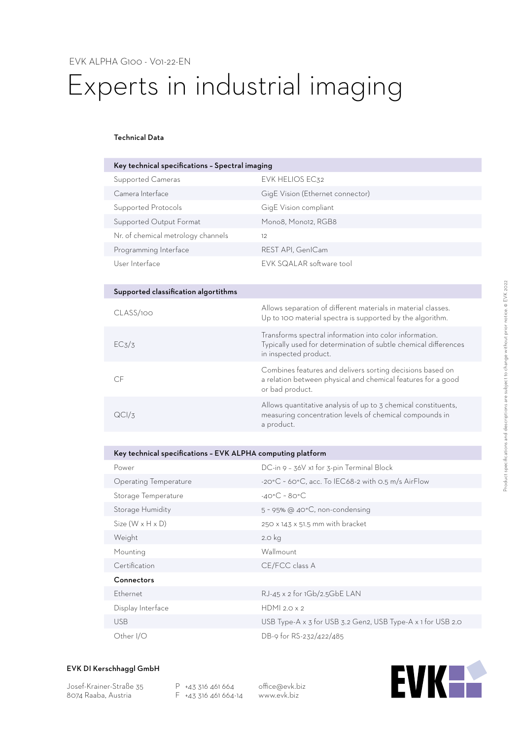## Experts in industrial imaging

#### Technical Data

| Key technical specifications - Spectral imaging |                                  |  |  |
|-------------------------------------------------|----------------------------------|--|--|
| Supported Cameras                               | EVK HELIOS EC32                  |  |  |
| Camera Interface                                | GigE Vision (Ethernet connector) |  |  |
| Supported Protocols                             | GigE Vision compliant            |  |  |
| Supported Output Format                         | Mono8, Mono12, RGB8              |  |  |
| Nr. of chemical metrology channels              | 12                               |  |  |
| Programming Interface                           | REST API, GenICam                |  |  |
| User Interface                                  | EVK SQALAR software tool         |  |  |

| Supported classification algortithms |                                                                                                                                                     |
|--------------------------------------|-----------------------------------------------------------------------------------------------------------------------------------------------------|
| CLASS/100                            | Allows separation of different materials in material classes.<br>Up to 100 material spectra is supported by the algorithm.                          |
| EC <sub>3</sub> /3                   | Transforms spectral information into color information.<br>Typically used for determination of subtle chemical differences<br>in inspected product. |
| CE                                   | Combines features and delivers sorting decisions based on<br>a relation between physical and chemical features for a good<br>or bad product.        |
| QCI/Z                                | Allows quantitative analysis of up to 3 chemical constituents,<br>measuring concentration levels of chemical compounds in<br>a product.             |

#### Key technical specifications – EVK ALPHA computing platform

| Power                        | DC-in 9 - 36V x1 for 3-pin Terminal Block                               |
|------------------------------|-------------------------------------------------------------------------|
| Operating Temperature        | $-20^{\circ}$ C ~ 60 $^{\circ}$ C, acc. To IEC68-2 with 0.5 m/s AirFlow |
| Storage Temperature          | $-40^{\circ}$ C ~ 80 $^{\circ}$ C                                       |
| Storage Humidity             | $5 \sim 95\%$ @ 40°C, non-condensing                                    |
| $Size (W \times H \times D)$ | 250 x 143 x 51.5 mm with bracket                                        |
| Weight                       | 2.0 kg                                                                  |
| Mounting                     | Wallmount                                                               |
| Certification                | CE/FCC class A                                                          |
| Connectors                   |                                                                         |
| <b>Ethernet</b>              | RJ-45 x 2 for 1Gb/2.5GbE LAN                                            |
| Display Interface            | HDMI 2.0 $\times$ 2                                                     |
| <b>USB</b>                   | USB Type-A x 3 for USB 3.2 Gen2, USB Type-A x 1 for USB 2.0             |
| Other I/O                    | DB-9 for RS-232/422/485                                                 |

#### EVK DI Kerschhaggl GmbH

Josef-Krainer-Straße 35 8074 Raaba, Austria

P +43 316 461 664 F +43 316 461 664-14